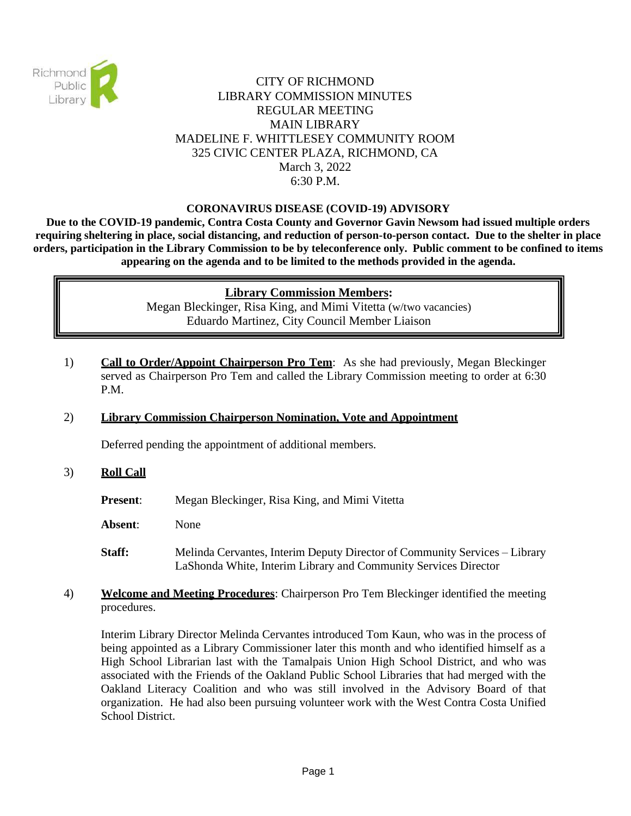

# CITY OF RICHMOND LIBRARY COMMISSION MINUTES REGULAR MEETING MAIN LIBRARY MADELINE F. WHITTLESEY COMMUNITY ROOM 325 CIVIC CENTER PLAZA, RICHMOND, CA March 3, 2022 6:30 P.M.

### **CORONAVIRUS DISEASE (COVID-19) ADVISORY**

**Due to the COVID-19 pandemic, Contra Costa County and Governor Gavin Newsom had issued multiple orders requiring sheltering in place, social distancing, and reduction of person-to-person contact. Due to the shelter in place orders, participation in the Library Commission to be by teleconference only. Public comment to be confined to items appearing on the agenda and to be limited to the methods provided in the agenda.**

#### **Library Commission Members:**

Megan Bleckinger, Risa King, and Mimi Vitetta (w/two vacancies) Eduardo Martinez, City Council Member Liaison

1) **Call to Order/Appoint Chairperson Pro Tem**: As she had previously, Megan Bleckinger served as Chairperson Pro Tem and called the Library Commission meeting to order at 6:30 P.M.

## 2) **Library Commission Chairperson Nomination, Vote and Appointment**

Deferred pending the appointment of additional members.

#### 3) **Roll Call**

- **Present:** Megan Bleckinger, Risa King, and Mimi Vitetta
- **Absent**: None
- **Staff:** Melinda Cervantes, Interim Deputy Director of Community Services Library LaShonda White, Interim Library and Community Services Director
- 4) **Welcome and Meeting Procedures**: Chairperson Pro Tem Bleckinger identified the meeting procedures.

Interim Library Director Melinda Cervantes introduced Tom Kaun, who was in the process of being appointed as a Library Commissioner later this month and who identified himself as a High School Librarian last with the Tamalpais Union High School District, and who was associated with the Friends of the Oakland Public School Libraries that had merged with the Oakland Literacy Coalition and who was still involved in the Advisory Board of that organization. He had also been pursuing volunteer work with the West Contra Costa Unified School District.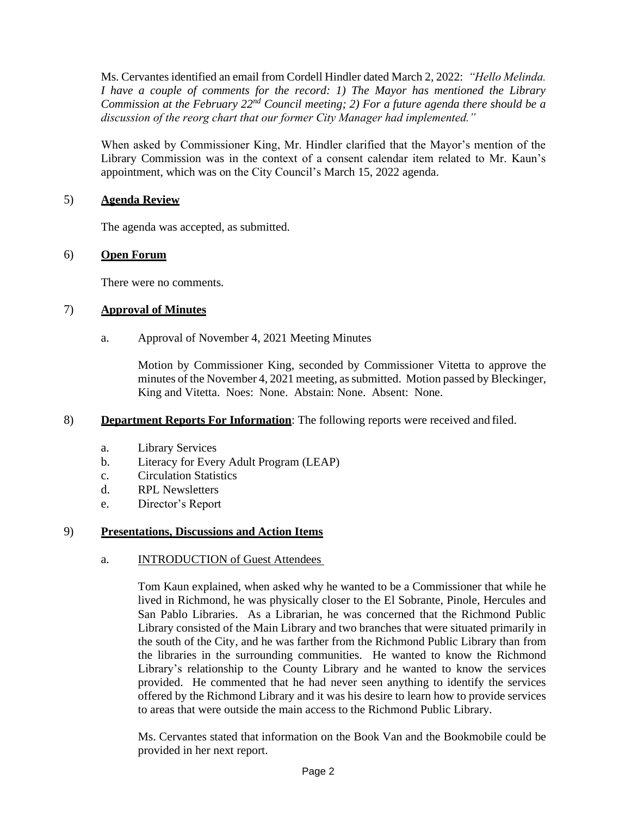Ms. Cervantes identified an email from Cordell Hindler dated March 2, 2022: *"Hello Melinda. I have a couple of comments for the record: 1) The Mayor has mentioned the Library Commission at the February 22nd Council meeting; 2) For a future agenda there should be a discussion of the reorg chart that our former City Manager had implemented."* 

When asked by Commissioner King, Mr. Hindler clarified that the Mayor's mention of the Library Commission was in the context of a consent calendar item related to Mr. Kaun's appointment, which was on the City Council's March 15, 2022 agenda.

### 5) **Agenda Review**

The agenda was accepted, as submitted.

### 6) **Open Forum**

There were no comments.

### 7) **Approval of Minutes**

a. Approval of November 4, 2021 Meeting Minutes

Motion by Commissioner King, seconded by Commissioner Vitetta to approve the minutes of the November 4, 2021 meeting, as submitted. Motion passed by Bleckinger, King and Vitetta. Noes: None. Abstain: None. Absent: None.

#### 8) **Department Reports For Information**: The following reports were received and filed.

- a. Library Services
- b. Literacy for Every Adult Program (LEAP)
- c. Circulation Statistics
- d. RPL Newsletters
- e. Director's Report

## 9) **Presentations, Discussions and Action Items**

#### a. INTRODUCTION of Guest Attendees

Tom Kaun explained, when asked why he wanted to be a Commissioner that while he lived in Richmond, he was physically closer to the El Sobrante, Pinole, Hercules and San Pablo Libraries. As a Librarian, he was concerned that the Richmond Public Library consisted of the Main Library and two branches that were situated primarily in the south of the City, and he was farther from the Richmond Public Library than from the libraries in the surrounding communities. He wanted to know the Richmond Library's relationship to the County Library and he wanted to know the services provided. He commented that he had never seen anything to identify the services offered by the Richmond Library and it was his desire to learn how to provide services to areas that were outside the main access to the Richmond Public Library.

Ms. Cervantes stated that information on the Book Van and the Bookmobile could be provided in her next report.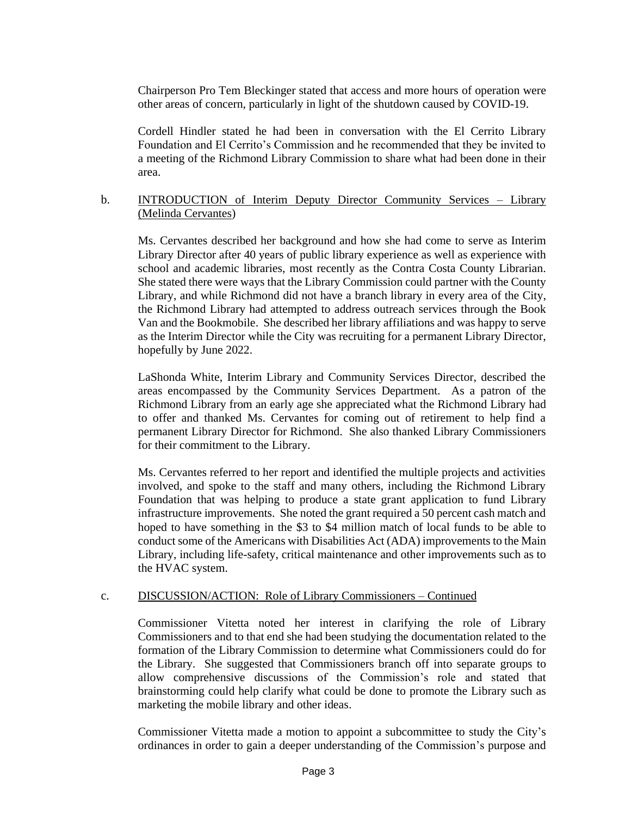Chairperson Pro Tem Bleckinger stated that access and more hours of operation were other areas of concern, particularly in light of the shutdown caused by COVID-19.

Cordell Hindler stated he had been in conversation with the El Cerrito Library Foundation and El Cerrito's Commission and he recommended that they be invited to a meeting of the Richmond Library Commission to share what had been done in their area.

## b. INTRODUCTION of Interim Deputy Director Community Services – Library (Melinda Cervantes)

Ms. Cervantes described her background and how she had come to serve as Interim Library Director after 40 years of public library experience as well as experience with school and academic libraries, most recently as the Contra Costa County Librarian. She stated there were ways that the Library Commission could partner with the County Library, and while Richmond did not have a branch library in every area of the City, the Richmond Library had attempted to address outreach services through the Book Van and the Bookmobile. She described her library affiliations and was happy to serve as the Interim Director while the City was recruiting for a permanent Library Director, hopefully by June 2022.

LaShonda White, Interim Library and Community Services Director, described the areas encompassed by the Community Services Department. As a patron of the Richmond Library from an early age she appreciated what the Richmond Library had to offer and thanked Ms. Cervantes for coming out of retirement to help find a permanent Library Director for Richmond. She also thanked Library Commissioners for their commitment to the Library.

Ms. Cervantes referred to her report and identified the multiple projects and activities involved, and spoke to the staff and many others, including the Richmond Library Foundation that was helping to produce a state grant application to fund Library infrastructure improvements. She noted the grant required a 50 percent cash match and hoped to have something in the \$3 to \$4 million match of local funds to be able to conduct some of the Americans with Disabilities Act (ADA) improvements to the Main Library, including life-safety, critical maintenance and other improvements such as to the HVAC system.

## c. DISCUSSION/ACTION: Role of Library Commissioners – Continued

Commissioner Vitetta noted her interest in clarifying the role of Library Commissioners and to that end she had been studying the documentation related to the formation of the Library Commission to determine what Commissioners could do for the Library. She suggested that Commissioners branch off into separate groups to allow comprehensive discussions of the Commission's role and stated that brainstorming could help clarify what could be done to promote the Library such as marketing the mobile library and other ideas.

Commissioner Vitetta made a motion to appoint a subcommittee to study the City's ordinances in order to gain a deeper understanding of the Commission's purpose and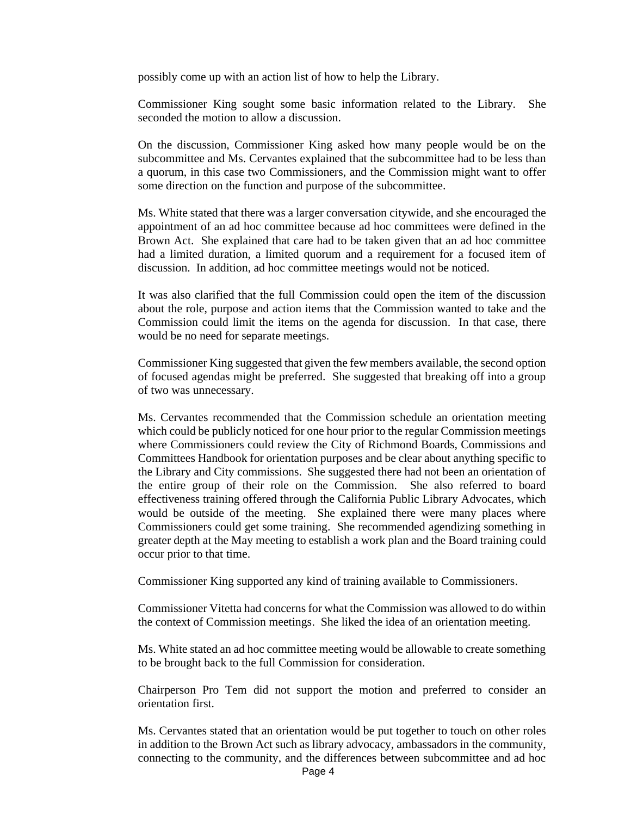possibly come up with an action list of how to help the Library.

Commissioner King sought some basic information related to the Library. She seconded the motion to allow a discussion.

On the discussion, Commissioner King asked how many people would be on the subcommittee and Ms. Cervantes explained that the subcommittee had to be less than a quorum, in this case two Commissioners, and the Commission might want to offer some direction on the function and purpose of the subcommittee.

Ms. White stated that there was a larger conversation citywide, and she encouraged the appointment of an ad hoc committee because ad hoc committees were defined in the Brown Act. She explained that care had to be taken given that an ad hoc committee had a limited duration, a limited quorum and a requirement for a focused item of discussion. In addition, ad hoc committee meetings would not be noticed.

It was also clarified that the full Commission could open the item of the discussion about the role, purpose and action items that the Commission wanted to take and the Commission could limit the items on the agenda for discussion. In that case, there would be no need for separate meetings.

Commissioner King suggested that given the few members available, the second option of focused agendas might be preferred. She suggested that breaking off into a group of two was unnecessary.

Ms. Cervantes recommended that the Commission schedule an orientation meeting which could be publicly noticed for one hour prior to the regular Commission meetings where Commissioners could review the City of Richmond Boards, Commissions and Committees Handbook for orientation purposes and be clear about anything specific to the Library and City commissions. She suggested there had not been an orientation of the entire group of their role on the Commission. She also referred to board effectiveness training offered through the California Public Library Advocates, which would be outside of the meeting. She explained there were many places where Commissioners could get some training. She recommended agendizing something in greater depth at the May meeting to establish a work plan and the Board training could occur prior to that time.

Commissioner King supported any kind of training available to Commissioners.

Commissioner Vitetta had concerns for what the Commission was allowed to do within the context of Commission meetings. She liked the idea of an orientation meeting.

Ms. White stated an ad hoc committee meeting would be allowable to create something to be brought back to the full Commission for consideration.

Chairperson Pro Tem did not support the motion and preferred to consider an orientation first.

Ms. Cervantes stated that an orientation would be put together to touch on other roles in addition to the Brown Act such as library advocacy, ambassadors in the community, connecting to the community, and the differences between subcommittee and ad hoc